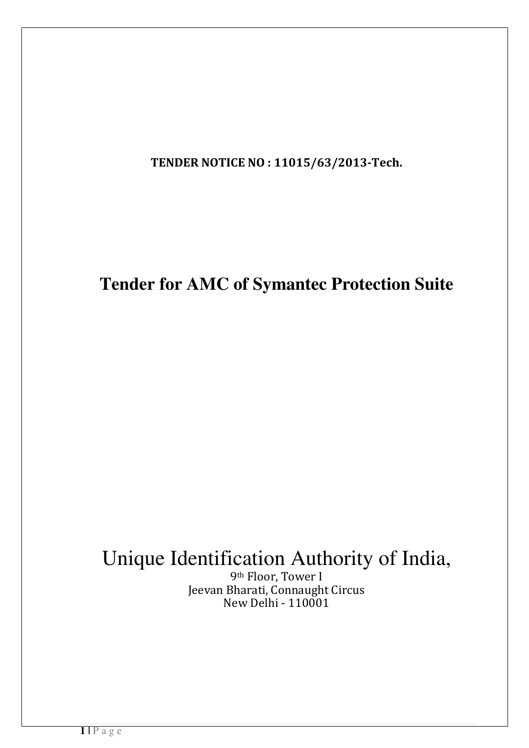TENDER NOTICE NO : 11015/63/2013-Tech.

# **Tender for AMC of Symantec Protection Suite**

# Unique Identification Authority of India,

9th Floor, Tower I Jeevan Bharati, Connaught Circus New Delhi - 110001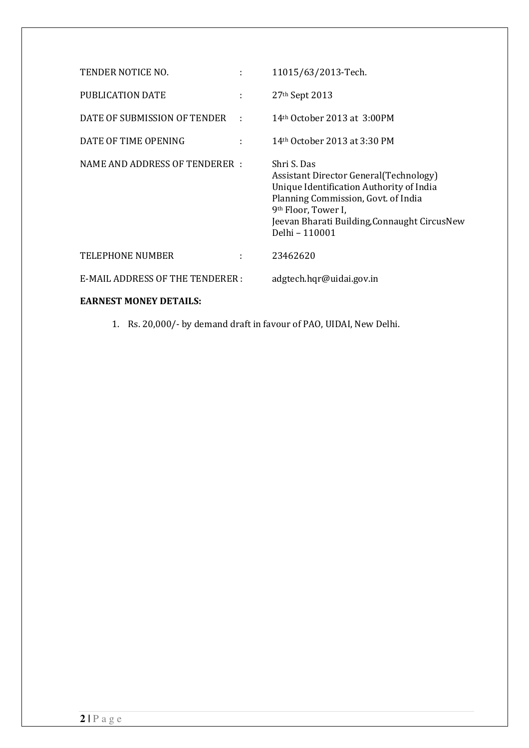| TENDER NOTICE NO.               | ÷ | 11015/63/2013-Tech.                                                                                                                                                                                                                 |
|---------------------------------|---|-------------------------------------------------------------------------------------------------------------------------------------------------------------------------------------------------------------------------------------|
| PUBLICATION DATE                | ÷ | 27 <sup>th</sup> Sept 2013                                                                                                                                                                                                          |
| DATE OF SUBMISSION OF TENDER :  |   | 14 <sup>th</sup> October 2013 at 3:00PM                                                                                                                                                                                             |
| DATE OF TIME OPENING            | ÷ | 14th October 2013 at 3:30 PM                                                                                                                                                                                                        |
| NAME AND ADDRESS OF TENDERER :  |   | Shri S. Das<br>Assistant Director General (Technology)<br>Unique Identification Authority of India<br>Planning Commission, Govt. of India<br>9th Floor, Tower I,<br>Jeevan Bharati Building, Connaught Circus New<br>Delhi - 110001 |
| <b>TELEPHONE NUMBER</b>         | ٠ | 23462620                                                                                                                                                                                                                            |
| E-MAIL ADDRESS OF THE TENDERER: |   | adgtech.hqr@uidai.gov.in                                                                                                                                                                                                            |
| <b>EARNEST MONEY DETAILS:</b>   |   |                                                                                                                                                                                                                                     |

1. Rs. 20,000/- by demand draft in favour of PAO, UIDAI, New Delhi.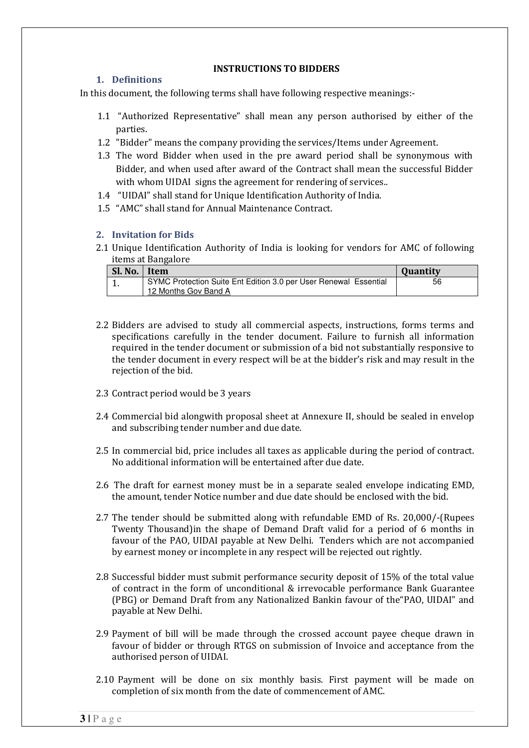#### INSTRUCTIONS TO BIDDERS

#### 1. Definitions

In this document, the following terms shall have following respective meanings:-

- 1.1 "Authorized Representative" shall mean any person authorised by either of the parties.
- 1.2 "Bidder" means the company providing the services/Items under Agreement.
- 1.3 The word Bidder when used in the pre award period shall be synonymous with Bidder, and when used after award of the Contract shall mean the successful Bidder with whom UIDAI signs the agreement for rendering of services..
- 1.4 "UIDAI" shall stand for Unique Identification Authority of India.
- 1.5 "AMC" shall stand for Annual Maintenance Contract.

#### 2. Invitation for Bids

2.1 Unique Identification Authority of India is looking for vendors for AMC of following items at Bangalore

| <b>Sl. No.</b> | Item                                                                                     | <b>Quantity</b> |
|----------------|------------------------------------------------------------------------------------------|-----------------|
| . .            | SYMC Protection Suite Ent Edition 3.0 per User Renewal Essential<br>12 Months Gov Band A | 56              |

- 2.2 Bidders are advised to study all commercial aspects, instructions, forms terms and specifications carefully in the tender document. Failure to furnish all information required in the tender document or submission of a bid not substantially responsive to the tender document in every respect will be at the bidder's risk and may result in the rejection of the bid.
- 2.3 Contract period would be 3 years
- 2.4 Commercial bid alongwith proposal sheet at Annexure II, should be sealed in envelop and subscribing tender number and due date.
- 2.5 In commercial bid, price includes all taxes as applicable during the period of contract. No additional information will be entertained after due date.
- 2.6 The draft for earnest money must be in a separate sealed envelope indicating EMD, the amount, tender Notice number and due date should be enclosed with the bid.
- 2.7 The tender should be submitted along with refundable EMD of Rs. 20,000/-(Rupees Twenty Thousand)in the shape of Demand Draft valid for a period of 6 months in favour of the PAO, UIDAI payable at New Delhi. Tenders which are not accompanied by earnest money or incomplete in any respect will be rejected out rightly.
- 2.8 Successful bidder must submit performance security deposit of 15% of the total value of contract in the form of unconditional & irrevocable performance Bank Guarantee (PBG) or Demand Draft from any Nationalized Bankin favour of the"PAO, UIDAI" and payable at New Delhi.
- 2.9 Payment of bill will be made through the crossed account payee cheque drawn in favour of bidder or through RTGS on submission of Invoice and acceptance from the authorised person of UIDAI.
- 2.10 Payment will be done on six monthly basis. First payment will be made on completion of six month from the date of commencement of AMC.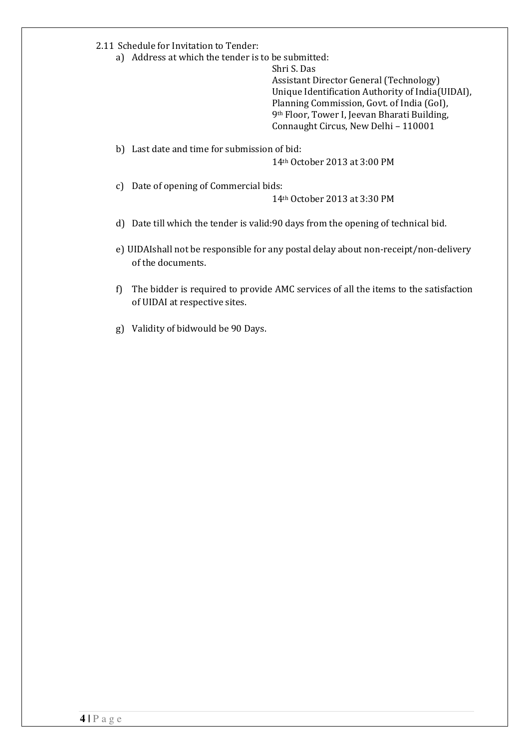#### 2.11 Schedule for Invitation to Tender:

a) Address at which the tender is to be submitted:

Shri S. Das Assistant Director General (Technology) Unique Identification Authority of India(UIDAI), Planning Commission, Govt. of India (GoI), 9th Floor, Tower I, Jeevan Bharati Building, Connaught Circus, New Delhi – 110001

b) Last date and time for submission of bid: 14th October 2013 at 3:00 PM

c) Date of opening of Commercial bids:

14th October 2013 at 3:30 PM

- d) Date till which the tender is valid:90 days from the opening of technical bid.
- e) UIDAIshall not be responsible for any postal delay about non-receipt/non-delivery of the documents.
- f) The bidder is required to provide AMC services of all the items to the satisfaction of UIDAI at respective sites.
- g) Validity of bidwould be 90 Days.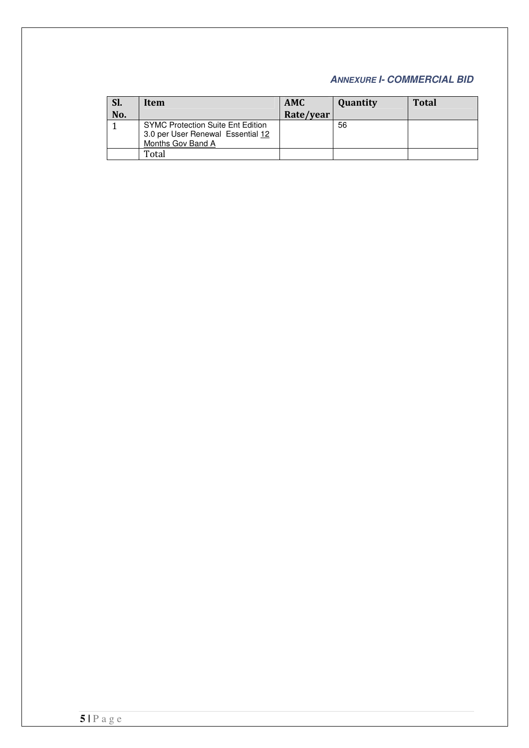## **ANNEXURE I- COMMERCIAL BID**

| Sl.<br>No. | Item                                                                                               | AMC<br>Rate/year | Quantity | <b>Total</b> |
|------------|----------------------------------------------------------------------------------------------------|------------------|----------|--------------|
|            | <b>SYMC Protection Suite Ent Edition</b><br>3.0 per User Renewal Essential 12<br>Months Gov Band A |                  | 56       |              |
|            | Total                                                                                              |                  |          |              |